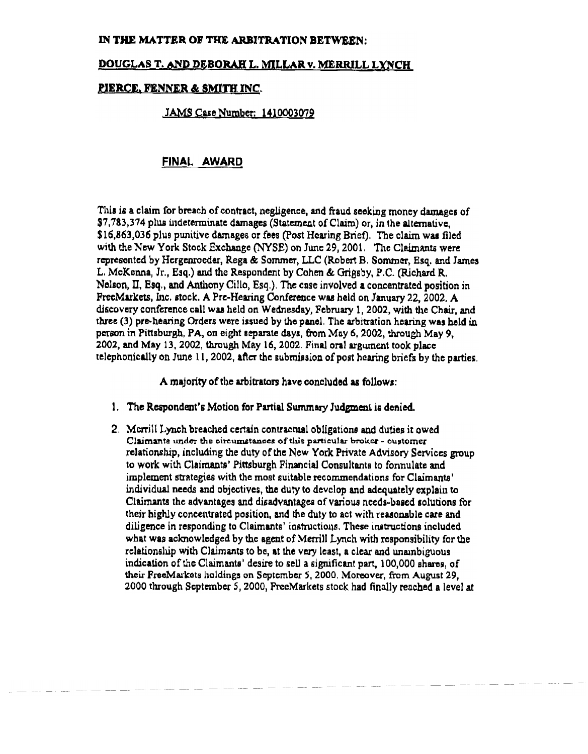### IN THE MATTER OF THE ARBITRATION BETWEEN:

# DOUGLAS T. AND DEBORAH L. MILLAR v. MERRILL LYNCH

# PIERCE. FENNER & SMITH INC.

# JAMS Case Number: 1410003079

# FINAL AWARg

This is a claim for breach of contract, negligence, and fraud seoking money damages of<br>\$7,783,374 plus indeterminate damages (Statement of Claim) or, in the alternative. \$16,863,036 plus punitive damages or fees (Post Hearing Brief). The claim was filed with the New York Stock Exchange (NYSE) on June 29, 2001. The Claimants were represented by Hergenroeder, Rega & Sommer, LLC (Robert B. Sommer, Esq. and James L. McKenna, Jr., Esq.) and the Respondent by Cohen & Grigsby, P.C. (Richard R. Nelson, II. Esq., and Anthony Cillo, Esq.). The case involved a concentrated position in FreeMarkets, Inc. stock. A Pre-Hearing Conference was held on January 22, 2002. A discovery conference call was held on Wednesday, February 1, 2002, with the Chair, and three (3) pre-hearing Orders were issued by the panel. The arbitration hearing was held in person in Pittsburgh, PA, on eight separate days, from May 6, 2002, through May 9, 2002, and May 13, 2002, through May 16, 2002. Final oral argument took place 2002. and May 13,2002, through Ma.y 16,2002. Final oral argwncnt took place  $t_{\rm F}$ edhonically on JWs  $\alpha$ , 2002, after the Bubmilsion Of post hearing briefs by the parties.

A majority of the arbitrators have concluded as follows:

- 1. The Respondent's Motion for Partial Summary Judgment is denied.
- 2. Merrill Lynch breached certain contractual obligations and duties it owed. Claimants under the circumstances of this particular broker - customer<br>relationship, including the duty of the New York Private Advisory Services group to work with Claimants' Pittsburgh Financial Consultants to formulate and implement strategies with the most suitable recommendations for Claimants' individual needs and objectives, the duty to develop and adequately explain to Claimants the advantages and disadvantages of various needs-based solutions for their highly concentrated position, and the duty to act with reasonable care and diligence in responding to Claimants' instructions. These instructions included what was acknowledged by the agent of Merrill Lynch with responsibility for the relationship with Claimants to be, at the very least, a clear and unambiguous indication of the Claimants' desire to sell a significant part, 100,000 shares, of their FreeMarkets holdings on September 5, 2000. Moreover, from August 29, their Freeman's holdings on September 5, 2000. Moreover. RDH August 29,<br>1000 shocked Goodman 6, 2000. Deed Carliste steel had Goodhamerked a law.  $2000$  through September 5, 2000, Preentances stock had finally reached a level at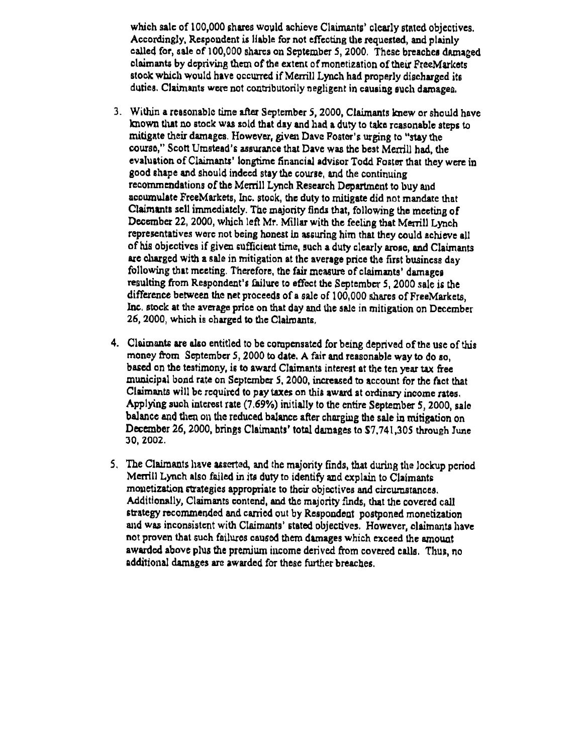which sale of 100,000 shares would achieve Claimants' clearly stated objectives. Accordingly, Respondent is liable for not effecting the requested, and plainly ealled for, sale of 100,000 shares on September 5, 2000. These breaches damaged claimants by depriving them of the extent of monetization of their FreeMarkets stook which would have occurred if Merrill Lynch had properly discharged its. duties. Claimants were not contributorily negligent in causing such damages.

- Within a reasonablc time after September 5, 2000, Claimants knew or should have 3. known that no stock was sold that day and had a duty to take reasonable steps to mitigate their damages. However, given Dave Foster's urging to "stay the course." Scott Umstead's assurance that Dave was the best Merrill had, the evalustion of Claimants' longtime financial advisor Todd Foster that they were in good shape and should indced stay the course, and the continuing recommendations of the Merrill Lynch Research Department to buy and accumulate FreeMarkets, Inc. stock, the duty to mitigate did not mandate that Claimants sell immediately. The majority finds that, following the meeting of December 22, 2000, which left Mr. Millar with the feeling that Merrill Lynch representatives were not being honest in assuring him that they could achieve all of his objectives if given sufficient time, such a duty clearly arose, and Claimants are charged with a sale in mitigation at the average price the first business day following that meeting. Therefore, the fair measure of claimants' damages resulting from Respondent's failure to effcct the Septembcr 5,2000 sale is the difference between the net proceeds of a sale of 100,000 shares of FreeMarkets, Inc. stock at the average price on that day and the sale in mitigation on December 26, 2000, which is charged to the Claimants.
- 4. Claimants are also entitled to be compensated for being deprived of the use of this money from September 5, 2000 to date. A fair and reasonable way to do so, based on the testimony, is to award Claimants interest at the ten year tax free municipal bond rate on September S, 2000. increased to account for the fact that Claimants wi1l be rcquired to pay taxes on thia award at ordinary income rates. Applying such interest rate  $(7.69%)$  initially to the entire September 5, 2000, sale balance and then on the reduced balance after charging the sale in mitigation on December 26, 2000, brings Claimants' total damages to \$7,741,305 through June JO, zooz.
- 5. The Claimants have asserted, and the majority finds, that during the lockup period Merrill Lynch also failed in its duty to identify and explain to Claimants monetization strategies appropriate to their objectives and circumstances. Additionally, Claimants contend, and the majority finds, that the covered call strategy recommended and carried out by Respondent postponed monetization and was inconsistent with Claimants' stated objectives. However, claimants have not proven that such failures caused them damages which exceed the amount awarded above plus the premium income derived from covered calls. Thus, no additional damages are awarded for these further breaches.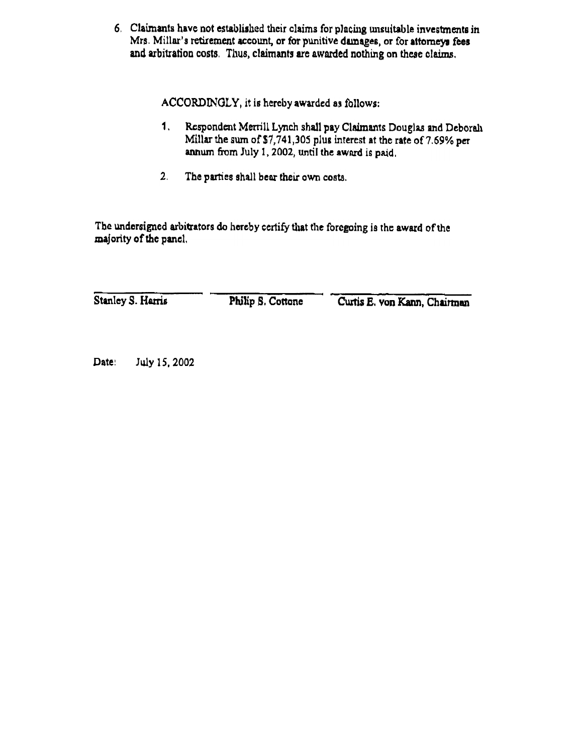6. Claimants have not established their claims for placing unsuitable investments in Mrs. Millar's retirement account, or for punitive damages, or for attorneys fees and arbitration costs. Thus, claimants are awarded nothing on these claims.

ACCORDINGLY, it is hereby awarded as follows

- 1. Respondent Merrill Lynch shall pay Claimants Douglas and Deboralı Millar the sum of  $$7,741,305$  plus interest at the rate of 7.69% per annum from July 1, 2002, until the award is paid.
- 2. The parties shall bear their own costa.

The undersigned arbitrators do hereby certify that the foregoing is the award of the majority of the pancl.

Stanley S. Harris

Philip S. Cottone

Curtis E. von Kann, Chairman

Date: July 15, 2002